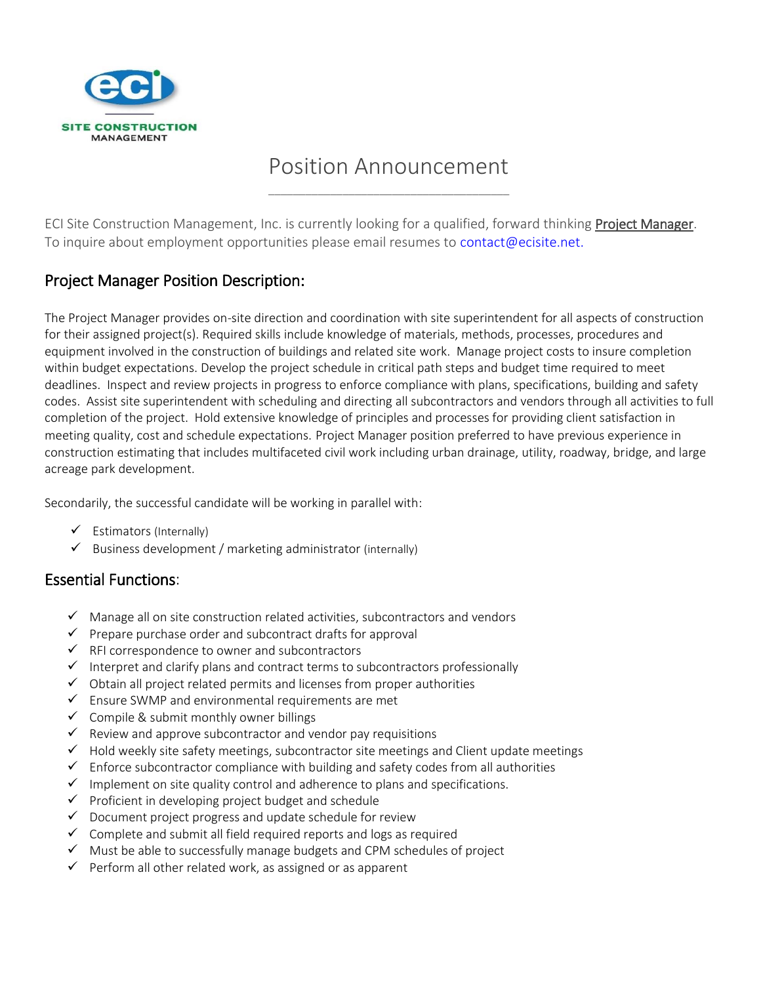

## Position Announcement \_\_\_\_\_\_\_\_\_\_\_\_\_\_\_\_\_\_\_\_\_\_\_\_\_\_\_\_\_\_\_\_\_\_\_\_\_\_\_

ECI Site Construction Management, Inc. is currently looking for a qualified, forward thinking **Project Manager**. To inquire about employment opportunities please email resumes to [contact@ecisite.net.](mailto:contact@ecisite.net)

## Project Manager Position Description:

The Project Manager provides on-site direction and coordination with site superintendent for all aspects of construction for their assigned project(s). Required skills include knowledge of materials, methods, processes, procedures and equipment involved in the construction of buildings and related site work. Manage project costs to insure completion within budget expectations. Develop the project schedule in critical path steps and budget time required to meet deadlines. Inspect and review projects in progress to enforce compliance with plans, specifications, building and safety codes. Assist site superintendent with scheduling and directing all subcontractors and vendors through all activities to full completion of the project. Hold extensive knowledge of principles and processes for providing client satisfaction in meeting quality, cost and schedule expectations. Project Manager position preferred to have previous experience in construction estimating that includes multifaceted civil work including urban drainage, utility, roadway, bridge, and large acreage park development.

Secondarily, the successful candidate will be working in parallel with:

- $\checkmark$  Estimators (Internally)
- $\checkmark$  Business development / marketing administrator (internally)

## Essential Functions:

- $\checkmark$  Manage all on site construction related activities, subcontractors and vendors
- $\checkmark$  Prepare purchase order and subcontract drafts for approval
- $\checkmark$  RFI correspondence to owner and subcontractors
- $\checkmark$  Interpret and clarify plans and contract terms to subcontractors professionally
- $\checkmark$  Obtain all project related permits and licenses from proper authorities
- $\checkmark$  Ensure SWMP and environmental requirements are met
- $\checkmark$  Compile & submit monthly owner billings
- $\checkmark$  Review and approve subcontractor and vendor pay requisitions
- $\checkmark$  Hold weekly site safety meetings, subcontractor site meetings and Client update meetings
- $\checkmark$  Enforce subcontractor compliance with building and safety codes from all authorities
- $\checkmark$  Implement on site quality control and adherence to plans and specifications.
- ✓ Proficient in developing project budget and schedule
- $\checkmark$  Document project progress and update schedule for review
- $\checkmark$  Complete and submit all field required reports and logs as required
- $\checkmark$  Must be able to successfully manage budgets and CPM schedules of project
- ✓ Perform all other related work, as assigned or as apparent